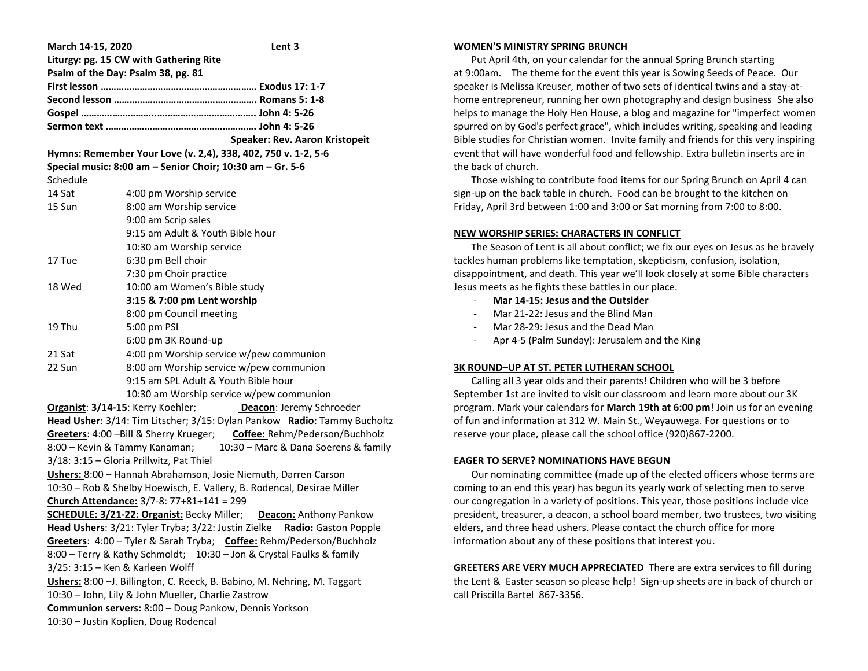| March 14-15, 2020                                                         | Lent <sub>3</sub>                                                        |
|---------------------------------------------------------------------------|--------------------------------------------------------------------------|
| Liturgy: pg. 15 CW with Gathering Rite                                    |                                                                          |
| Psalm of the Day: Psalm 38, pg. 81                                        |                                                                          |
|                                                                           |                                                                          |
|                                                                           |                                                                          |
|                                                                           |                                                                          |
|                                                                           |                                                                          |
|                                                                           | Speaker: Rev. Aaron Kristopeit                                           |
| Hymns: Remember Your Love (v. 2,4), 338, 402, 750 v. 1-2, 5-6             |                                                                          |
| Special music: 8:00 am - Senior Choir; 10:30 am - Gr. 5-6                 |                                                                          |
| Schedule                                                                  |                                                                          |
| 14 Sat                                                                    | 4:00 pm Worship service                                                  |
| 15 Sun                                                                    | 8:00 am Worship service                                                  |
|                                                                           | 9:00 am Scrip sales                                                      |
|                                                                           | 9:15 am Adult & Youth Bible hour                                         |
|                                                                           | 10:30 am Worship service                                                 |
| 17 Tue                                                                    | 6:30 pm Bell choir                                                       |
|                                                                           | 7:30 pm Choir practice                                                   |
| 18 Wed                                                                    | 10:00 am Women's Bible study                                             |
|                                                                           | 3:15 & 7:00 pm Lent worship                                              |
|                                                                           | 8:00 pm Council meeting                                                  |
| 19 Thu                                                                    | 5:00 pm PSI                                                              |
|                                                                           | 6:00 pm 3K Round-up                                                      |
| 21 Sat                                                                    | 4:00 pm Worship service w/pew communion                                  |
| 22 Sun                                                                    | 8:00 am Worship service w/pew communion                                  |
|                                                                           | 9:15 am SPL Adult & Youth Bible hour                                     |
|                                                                           | 10:30 am Worship service w/pew communion                                 |
| Organist: 3/14-15: Kerry Koehler;<br>Deacon: Jeremy Schroeder             |                                                                          |
| Head Usher: 3/14: Tim Litscher; 3/15: Dylan Pankow Radio: Tammy Bucholtz  |                                                                          |
|                                                                           | Greeters: 4:00 - Bill & Sherry Krueger; Coffee: Rehm/Pederson/Buchholz   |
| 8:00 - Kevin & Tammy Kanaman;<br>10:30 - Marc & Dana Soerens & family     |                                                                          |
| 3/18: 3:15 - Gloria Prillwitz, Pat Thiel                                  |                                                                          |
| Ushers: 8:00 - Hannah Abrahamson, Josie Niemuth, Darren Carson            |                                                                          |
| 10:30 - Rob & Shelby Hoewisch, E. Vallery, B. Rodencal, Desirae Miller    |                                                                          |
| Church Attendance: 3/7-8: 77+81+141 = 299                                 |                                                                          |
|                                                                           | <b>SCHEDULE: 3/21-22: Organist: Becky Miller;</b> Deacon: Anthony Pankow |
|                                                                           | Head Ushers: 3/21: Tyler Tryba; 3/22: Justin Zielke Radio: Gaston Popple |
| Greeters: 4:00 - Tyler & Sarah Tryba; Coffee: Rehm/Pederson/Buchholz      |                                                                          |
| 8:00 - Terry & Kathy Schmoldt; 10:30 - Jon & Crystal Faulks & family      |                                                                          |
| 3/25: 3:15 - Ken & Karleen Wolff                                          |                                                                          |
| Ushers: 8:00 - J. Billington, C. Reeck, B. Babino, M. Nehring, M. Taggart |                                                                          |
| 10:30 - John, Lily & John Mueller, Charlie Zastrow                        |                                                                          |
| Communion servers: 8:00 - Doug Pankow, Dennis Yorkson                     |                                                                          |
| 10:30 - Justin Koplien, Doug Rodencal                                     |                                                                          |

#### **WOMEN'S MINISTRY SPRING BRUNCH**

 Put April 4th, on your calendar for the annual Spring Brunch starting at 9:00am. The theme for the event this year is Sowing Seeds of Peace. Our speaker is Melissa Kreuser, mother of two sets of identical twins and a stay-athome entrepreneur, running her own photography and design business She also helps to manage the Holy Hen House, a blog and magazine for "imperfect women spurred on by God's perfect grace", which includes writing, speaking and leading Bible studies for Christian women. Invite family and friends for this very inspiring event that will have wonderful food and fellowship. Extra bulletin inserts are in the back of church.

 Those wishing to contribute food items for our Spring Brunch on April 4 can sign-up on the back table in church. Food can be brought to the kitchen on Friday, April 3rd between 1:00 and 3:00 or Sat morning from 7:00 to 8:00.

## **NEW WORSHIP SERIES: CHARACTERS IN CONFLICT**

 The Season of Lent is all about conflict; we fix our eyes on Jesus as he bravely tackles human problems like temptation, skepticism, confusion, isolation, disappointment, and death. This year we'll look closely at some Bible characters Jesus meets as he fights these battles in our place.

- **Mar 14-15: Jesus and the Outsider**
- Mar 21-22: Jesus and the Blind Man
- Mar 28-29: Jesus and the Dead Man
- Apr 4-5 (Palm Sunday): Jerusalem and the King

## **3K ROUND–UP AT ST. PETER LUTHERAN SCHOOL**

 Calling all 3 year olds and their parents! Children who will be 3 before September 1st are invited to visit our classroom and learn more about our 3K program. Mark your calendars for **March 19th at 6:00 pm**! Join us for an evening of fun and information at 312 W. Main St., Weyauwega. For questions or to reserve your place, please call the school office (920)867-2200.

## **EAGER TO SERVE? NOMINATIONS HAVE BEGUN**

 Our nominating committee (made up of the elected officers whose terms are coming to an end this year) has begun its yearly work of selecting men to serve our congregation in a variety of positions. This year, those positions include vice president, treasurer, a deacon, a school board member, two trustees, two visiting elders, and three head ushers. Please contact the church office for more information about any of these positions that interest you.

**GREETERS ARE VERY MUCH APPRECIATED** There are extra services to fill during the Lent & Easter season so please help! Sign-up sheets are in back of church or call Priscilla Bartel 867-3356.